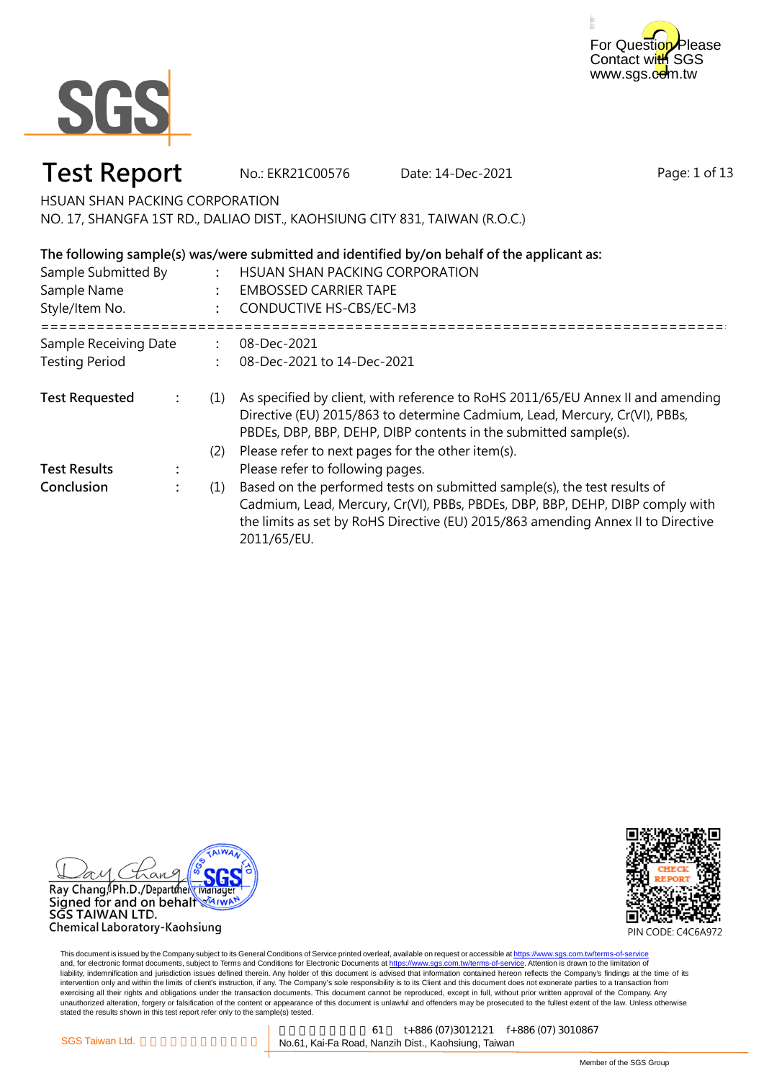



No.: EKR21C00576 Date: 14-Dec-2021

Page: 1 of 13

HSUAN SHAN PACKING CORPORATION

NO. 17, SHANGFA 1ST RD., DALIAO DIST., KAOHSIUNG CITY 831, TAIWAN (R.O.C.)

### **The following sample(s) was/were submitted and identified by/on behalf of the applicant as:**

| Sample Submitted By<br>Sample Name<br>Style/Item No. |  |     | HSUAN SHAN PACKING CORPORATION<br><b>EMBOSSED CARRIER TAPE</b><br><b>CONDUCTIVE HS-CBS/EC-M3</b>                                                                                                                                                             |  |
|------------------------------------------------------|--|-----|--------------------------------------------------------------------------------------------------------------------------------------------------------------------------------------------------------------------------------------------------------------|--|
| Sample Receiving Date                                |  |     | 08-Dec-2021                                                                                                                                                                                                                                                  |  |
| <b>Testing Period</b>                                |  |     | 08-Dec-2021 to 14-Dec-2021                                                                                                                                                                                                                                   |  |
| <b>Test Requested</b>                                |  | (1) | As specified by client, with reference to RoHS 2011/65/EU Annex II and amending<br>Directive (EU) 2015/863 to determine Cadmium, Lead, Mercury, Cr(VI), PBBs,<br>PBDEs, DBP, BBP, DEHP, DIBP contents in the submitted sample(s).                            |  |
|                                                      |  | (2) | Please refer to next pages for the other item(s).                                                                                                                                                                                                            |  |
| <b>Test Results</b>                                  |  |     | Please refer to following pages.                                                                                                                                                                                                                             |  |
| Conclusion                                           |  | (1) | Based on the performed tests on submitted sample(s), the test results of<br>Cadmium, Lead, Mercury, Cr(VI), PBBs, PBDEs, DBP, BBP, DEHP, DIBP comply with<br>the limits as set by RoHS Directive (EU) 2015/863 amending Annex II to Directive<br>2011/65/EU. |  |



SGS TAIWAN LTD. Chemical Laboratory-Kaohsiung

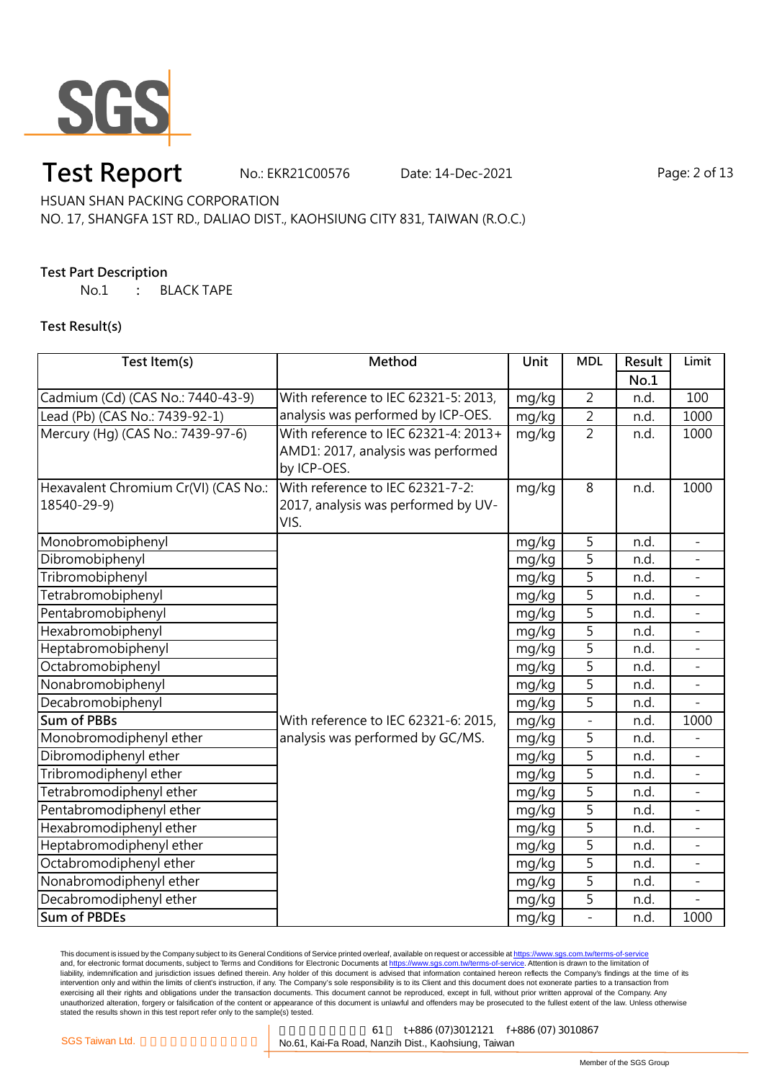

No.: EKR21C00576 Date: 14-Dec-2021 Page: 2 of 13

HSUAN SHAN PACKING CORPORATION

### NO. 17, SHANGFA 1ST RD., DALIAO DIST., KAOHSIUNG CITY 831, TAIWAN (R.O.C.)

### **Test Part Description**

No.1 **:** BLACK TAPE

### **Test Result(s)**

| Test Item(s)                         | Method                               | Unit  | <b>MDL</b>     | Result | Limit                    |
|--------------------------------------|--------------------------------------|-------|----------------|--------|--------------------------|
|                                      |                                      |       |                | No.1   |                          |
| Cadmium (Cd) (CAS No.: 7440-43-9)    | With reference to IEC 62321-5: 2013, | mg/kg | $\overline{2}$ | n.d.   | 100                      |
| Lead (Pb) (CAS No.: 7439-92-1)       | analysis was performed by ICP-OES.   | mg/kg | $\overline{2}$ | n.d.   | 1000                     |
| Mercury (Hg) (CAS No.: 7439-97-6)    | With reference to IEC 62321-4: 2013+ | mg/kg | $\overline{2}$ | n.d.   | 1000                     |
|                                      | AMD1: 2017, analysis was performed   |       |                |        |                          |
|                                      | by ICP-OES.                          |       |                |        |                          |
| Hexavalent Chromium Cr(VI) (CAS No.: | With reference to IEC 62321-7-2:     | mg/kg | 8              | n.d.   | 1000                     |
| 18540-29-9)                          | 2017, analysis was performed by UV-  |       |                |        |                          |
|                                      | VIS.                                 |       |                |        |                          |
| Monobromobiphenyl                    |                                      | mg/kg | 5              | n.d.   | $\overline{a}$           |
| Dibromobiphenyl                      |                                      | mg/kg | 5              | n.d.   |                          |
| Tribromobiphenyl                     |                                      | mg/kg | 5              | n.d.   |                          |
| Tetrabromobiphenyl                   |                                      | mg/kg | 5              | n.d.   |                          |
| Pentabromobiphenyl                   |                                      | mg/kg | 5              | n.d.   |                          |
| Hexabromobiphenyl                    |                                      | mg/kg | 5              | n.d.   | ÷,                       |
| Heptabromobiphenyl                   |                                      | mg/kg | $\overline{5}$ | n.d.   |                          |
| Octabromobiphenyl                    |                                      | mg/kg | 5              | n.d.   |                          |
| Nonabromobiphenyl                    |                                      | mg/kg | 5              | n.d.   |                          |
| Decabromobiphenyl                    |                                      | mg/kg | 5              | n.d.   |                          |
| <b>Sum of PBBs</b>                   | With reference to IEC 62321-6: 2015, | mg/kg |                | n.d.   | 1000                     |
| Monobromodiphenyl ether              | analysis was performed by GC/MS.     | mg/kg | 5              | n.d.   |                          |
| Dibromodiphenyl ether                |                                      | mg/kg | 5              | n.d.   |                          |
| Tribromodiphenyl ether               |                                      | mg/kg | $\overline{5}$ | n.d.   |                          |
| Tetrabromodiphenyl ether             |                                      | mg/kg | 5              | n.d.   |                          |
| Pentabromodiphenyl ether             |                                      | mg/kg | $\overline{5}$ | n.d.   |                          |
| Hexabromodiphenyl ether              |                                      | mg/kg | 5              | n.d.   |                          |
| Heptabromodiphenyl ether             |                                      | mg/kg | 5              | n.d.   | $\overline{\phantom{0}}$ |
| Octabromodiphenyl ether              |                                      | mg/kg | 5              | n.d.   | $\overline{a}$           |
| Nonabromodiphenyl ether              |                                      | mg/kg | 5              | n.d.   |                          |
| Decabromodiphenyl ether              |                                      | mg/kg | 5              | n.d.   |                          |
| <b>Sum of PBDEs</b>                  |                                      | mg/kg | $\overline{a}$ | n.d.   | 1000                     |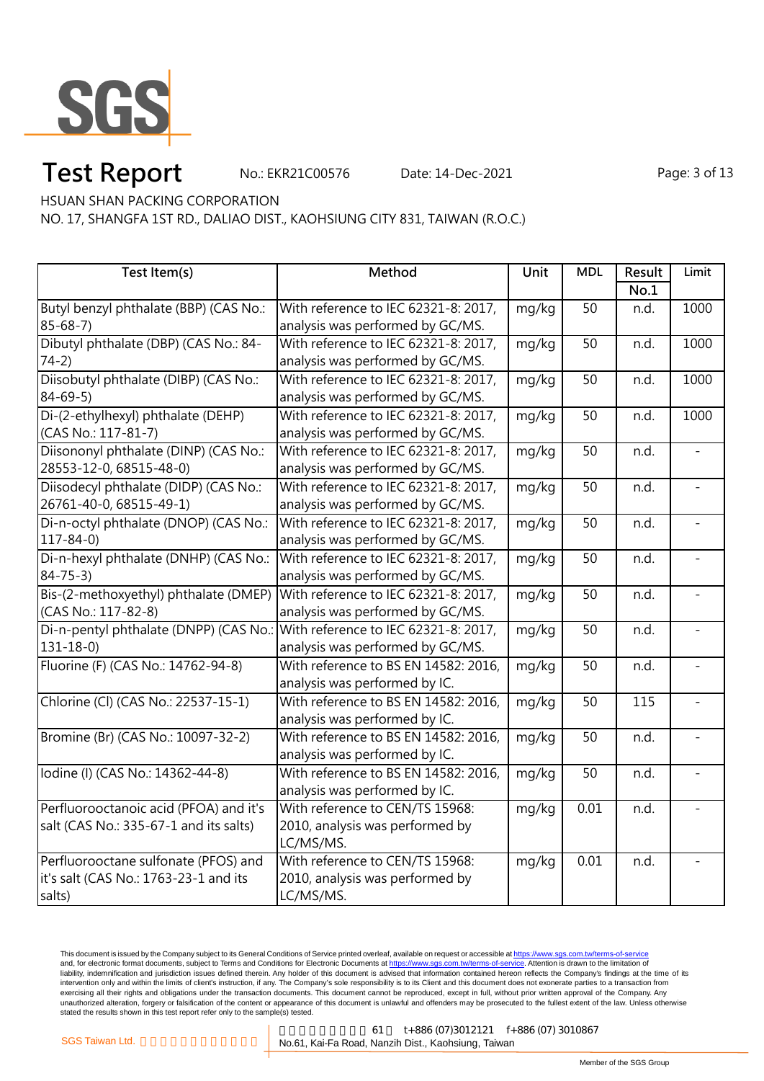

No.: EKR21C00576 Date: 14-Dec-2021 Page: 3 of 13

HSUAN SHAN PACKING CORPORATION

NO. 17, SHANGFA 1ST RD., DALIAO DIST., KAOHSIUNG CITY 831, TAIWAN (R.O.C.)

| Test Item(s)                                                                | Method                               | Unit  | <b>MDL</b>        | Result | Limit |
|-----------------------------------------------------------------------------|--------------------------------------|-------|-------------------|--------|-------|
|                                                                             |                                      |       |                   | No.1   |       |
| Butyl benzyl phthalate (BBP) (CAS No.:                                      | With reference to IEC 62321-8: 2017, | mg/kg | 50                | n.d.   | 1000  |
| $85 - 68 - 7$                                                               | analysis was performed by GC/MS.     |       |                   |        |       |
| Dibutyl phthalate (DBP) (CAS No.: 84-                                       | With reference to IEC 62321-8: 2017, | mg/kg | 50                | n.d.   | 1000  |
| $74-2)$                                                                     | analysis was performed by GC/MS.     |       |                   |        |       |
| Diisobutyl phthalate (DIBP) (CAS No.:                                       | With reference to IEC 62321-8: 2017, | mg/kg | 50                | n.d.   | 1000  |
| $84 - 69 - 5$                                                               | analysis was performed by GC/MS.     |       |                   |        |       |
| Di-(2-ethylhexyl) phthalate (DEHP)                                          | With reference to IEC 62321-8: 2017, | mg/kg | 50                | n.d.   | 1000  |
| (CAS No.: 117-81-7)                                                         | analysis was performed by GC/MS.     |       |                   |        |       |
| Diisononyl phthalate (DINP) (CAS No.:                                       | With reference to IEC 62321-8: 2017, | mg/kg | 50                | n.d.   |       |
| 28553-12-0, 68515-48-0)                                                     | analysis was performed by GC/MS.     |       |                   |        |       |
| Diisodecyl phthalate (DIDP) (CAS No.:                                       | With reference to IEC 62321-8: 2017, | mg/kg | 50                | n.d.   |       |
| 26761-40-0, 68515-49-1)                                                     | analysis was performed by GC/MS.     |       |                   |        |       |
| Di-n-octyl phthalate (DNOP) (CAS No.:                                       | With reference to IEC 62321-8: 2017, | mg/kg | 50                | n.d.   |       |
| $117 - 84 - 0$                                                              | analysis was performed by GC/MS.     |       |                   |        |       |
| Di-n-hexyl phthalate (DNHP) (CAS No.:                                       | With reference to IEC 62321-8: 2017, | mg/kg | 50                | n.d.   |       |
| $84 - 75 - 3$                                                               | analysis was performed by GC/MS.     |       |                   |        |       |
| Bis-(2-methoxyethyl) phthalate (DMEP)                                       | With reference to IEC 62321-8: 2017, | mg/kg | 50                | n.d.   |       |
| (CAS No.: 117-82-8)                                                         | analysis was performed by GC/MS.     |       |                   |        |       |
| Di-n-pentyl phthalate (DNPP) (CAS No.: With reference to IEC 62321-8: 2017, |                                      | mg/kg | 50                | n.d.   |       |
| $131 - 18 - 0$                                                              | analysis was performed by GC/MS.     |       |                   |        |       |
| Fluorine (F) (CAS No.: 14762-94-8)                                          | With reference to BS EN 14582: 2016, | mg/kg | $\overline{50}$   | n.d.   |       |
|                                                                             | analysis was performed by IC.        |       |                   |        |       |
| Chlorine (Cl) (CAS No.: 22537-15-1)                                         | With reference to BS EN 14582: 2016, | mg/kg | 50                | 115    |       |
|                                                                             | analysis was performed by IC.        |       |                   |        |       |
| Bromine (Br) (CAS No.: 10097-32-2)                                          | With reference to BS EN 14582: 2016, | mg/kg | 50                | n.d.   |       |
|                                                                             | analysis was performed by IC.        |       |                   |        |       |
| Iodine (I) (CAS No.: 14362-44-8)                                            | With reference to BS EN 14582: 2016, | mg/kg | $\overline{50}$   | n.d.   |       |
|                                                                             | analysis was performed by IC.        |       |                   |        |       |
| Perfluorooctanoic acid (PFOA) and it's                                      | With reference to CEN/TS 15968:      | mg/kg | $\overline{0.01}$ | n.d.   |       |
| salt (CAS No.: 335-67-1 and its salts)                                      | 2010, analysis was performed by      |       |                   |        |       |
|                                                                             | LC/MS/MS.                            |       |                   |        |       |
| Perfluorooctane sulfonate (PFOS) and                                        | With reference to CEN/TS 15968:      | mg/kg | 0.01              | n.d.   |       |
| it's salt (CAS No.: 1763-23-1 and its                                       | 2010, analysis was performed by      |       |                   |        |       |
| salts)                                                                      | LC/MS/MS.                            |       |                   |        |       |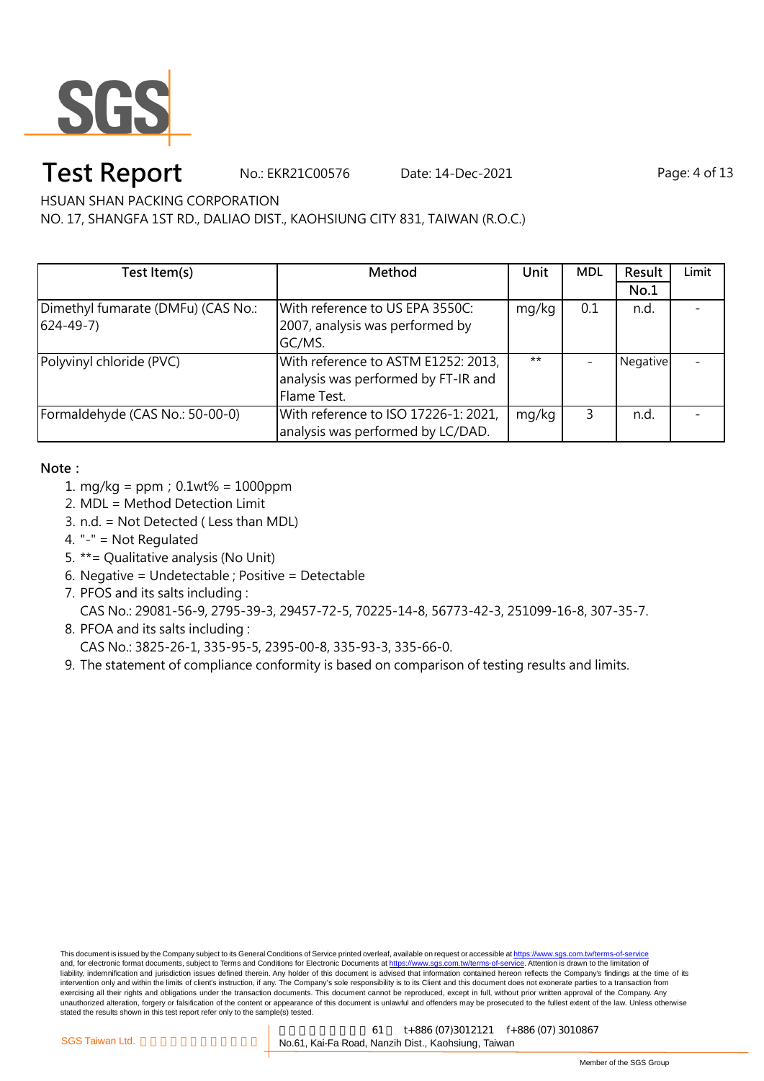

No.: EKR21C00576 Date: 14-Dec-2021 Page: 4 of 13

HSUAN SHAN PACKING CORPORATION

NO. 17, SHANGFA 1ST RD., DALIAO DIST., KAOHSIUNG CITY 831, TAIWAN (R.O.C.)

| Test Item(s)                       | Method                               | Unit  | <b>MDL</b> | Result   | Limit |
|------------------------------------|--------------------------------------|-------|------------|----------|-------|
|                                    |                                      |       |            | No.1     |       |
| Dimethyl fumarate (DMFu) (CAS No.: | With reference to US EPA 3550C:      | mg/kg | 0.1        | n.d.     |       |
| $(624 - 49 - 7)$                   | 2007, analysis was performed by      |       |            |          |       |
|                                    | GC/MS.                               |       |            |          |       |
| Polyvinyl chloride (PVC)           | With reference to ASTM E1252: 2013,  | $***$ |            | Negative |       |
|                                    | analysis was performed by FT-IR and  |       |            |          |       |
|                                    | Flame Test.                          |       |            |          |       |
| Formaldehyde (CAS No.: 50-00-0)    | With reference to ISO 17226-1: 2021, | mg/kg | 3          | n.d.     |       |
|                                    | analysis was performed by LC/DAD.    |       |            |          |       |

### **Note:**

- 1. mg/kg = ppm;0.1wt% = 1000ppm
- 2. MDL = Method Detection Limit
- 3. n.d. = Not Detected ( Less than MDL)
- 4. "-" = Not Regulated
- 5. \*\*= Qualitative analysis (No Unit)
- 6. Negative = Undetectable ; Positive = Detectable
- 7. PFOS and its salts including :

CAS No.: 29081-56-9, 2795-39-3, 29457-72-5, 70225-14-8, 56773-42-3, 251099-16-8, 307-35-7.

- 8. PFOA and its salts including :
	- CAS No.: 3825-26-1, 335-95-5, 2395-00-8, 335-93-3, 335-66-0.
- 9. The statement of compliance conformity is based on comparison of testing results and limits.

This document is issued by the Company subject to its General Conditions of Service printed overleaf, available on request or accessible at https://www.sgs.com.tw/terms-of-service and, for electronic format documents, subject to Terms and Conditions for Electronic Documents at https://www.sgs.com.tw/terms-of-service. Attention is drawn to the limitation of liability, indemnification and jurisdiction issues defined therein. Any holder of this document is advised that information contained hereon reflects the Company's findings at the time of its intervention only and within the limits of client's instruction, if any. The Company's sole responsibility is to its Client and this document does not exonerate parties to a transaction from exercising all their rights and obligations under the transaction documents. This document cannot be reproduced, except in full, without prior written approval of the Company. Any<br>unauthorized alteration, forgery or falsif stated the results shown in this test report refer only to the sample(s) tested.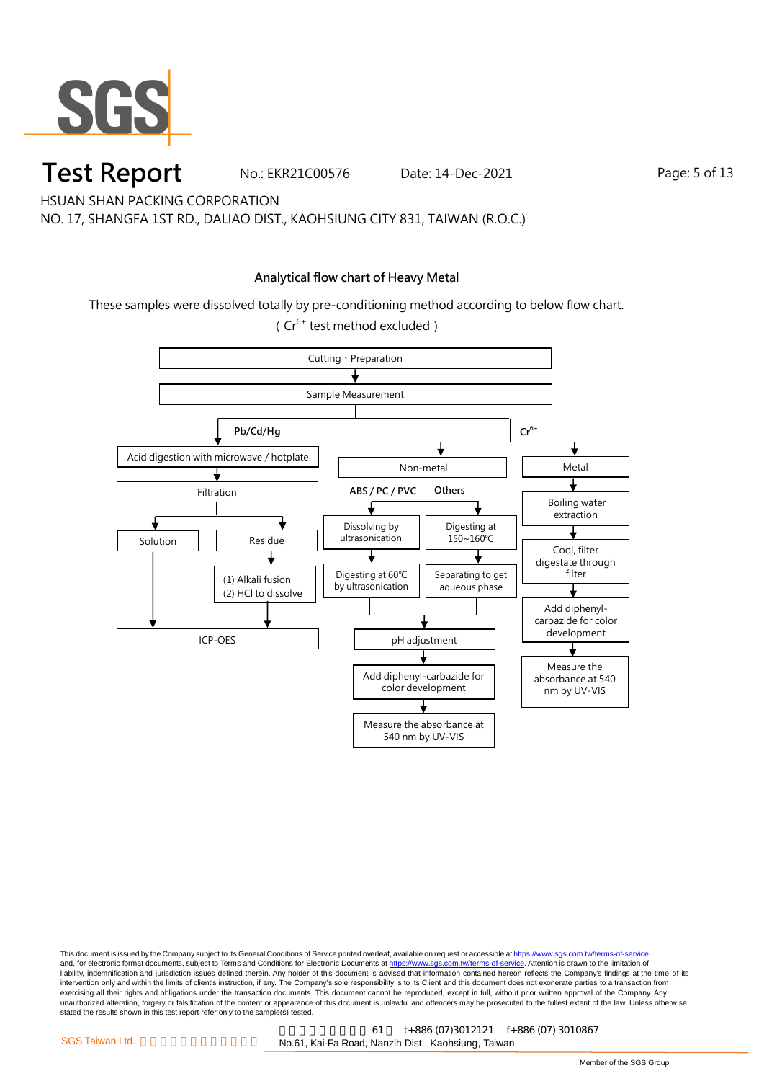

No.: EKR21C00576 Date: 14-Dec-2021 Page: 5 of 13

HSUAN SHAN PACKING CORPORATION

NO. 17, SHANGFA 1ST RD., DALIAO DIST., KAOHSIUNG CITY 831, TAIWAN (R.O.C.)

### **Analytical flow chart of Heavy Metal**

These samples were dissolved totally by pre-conditioning method according to below flow chart. ( $Cr^{6+}$  test method excluded)

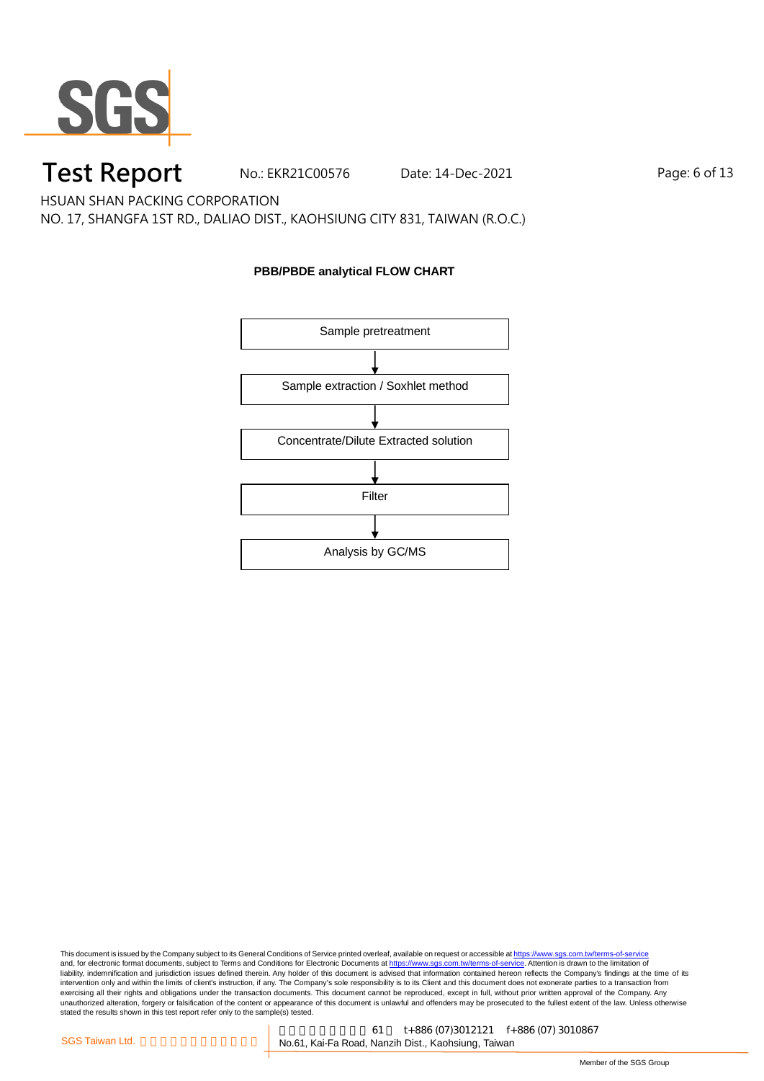

No.: EKR21C00576 Date: 14-Dec-2021 Page: 6 of 13

HSUAN SHAN PACKING CORPORATION

NO. 17, SHANGFA 1ST RD., DALIAO DIST., KAOHSIUNG CITY 831, TAIWAN (R.O.C.)

### **PBB/PBDE analytical FLOW CHART**

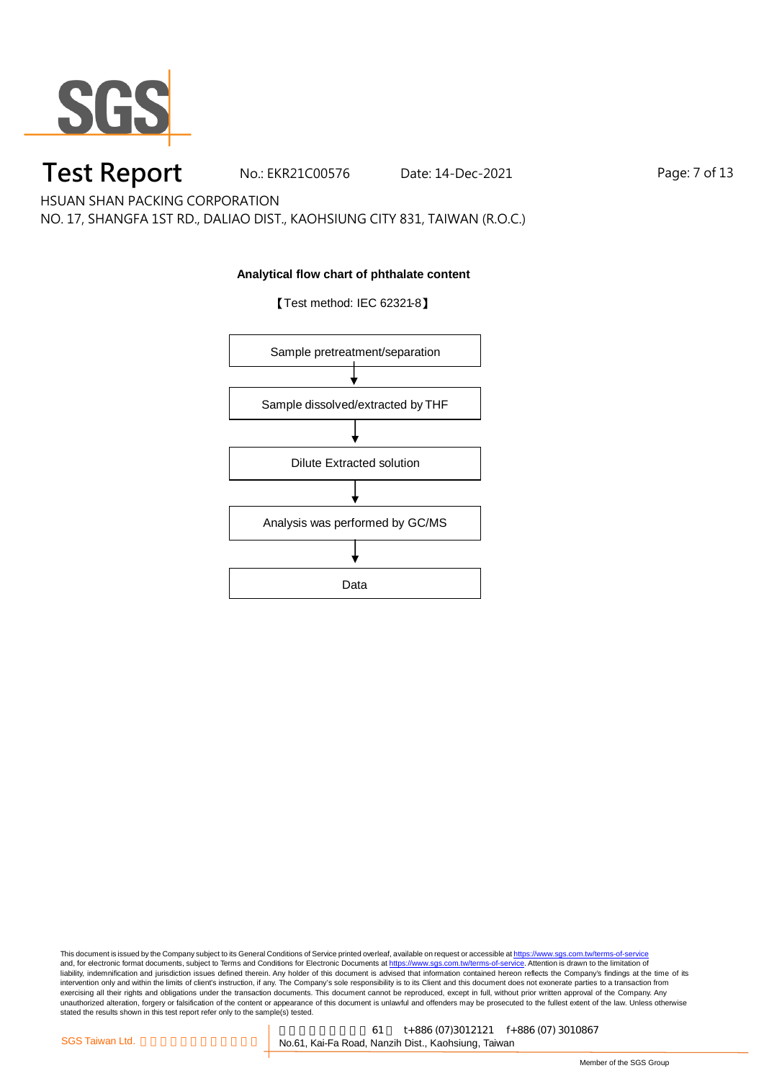

No.: EKR21C00576 Date: 14-Dec-2021 Page: 7 of 13

HSUAN SHAN PACKING CORPORATION

NO. 17, SHANGFA 1ST RD., DALIAO DIST., KAOHSIUNG CITY 831, TAIWAN (R.O.C.)

### **Analytical flow chart of phthalate content**



【Test method: IEC 62321-8】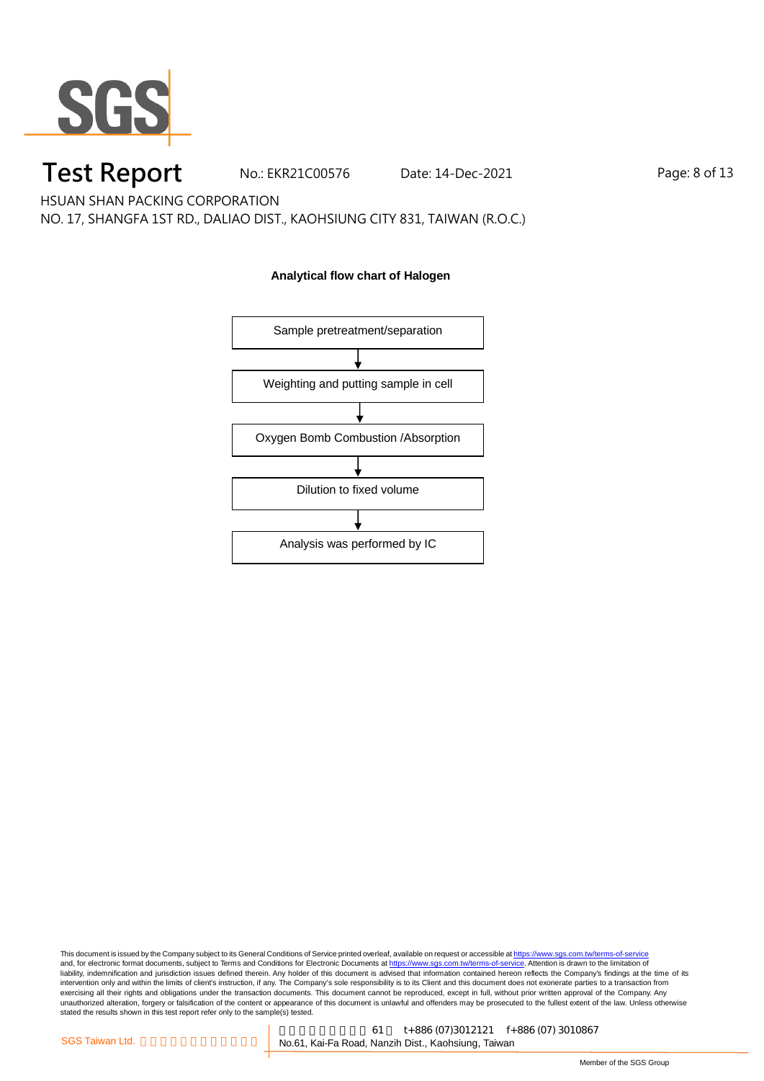

No.: EKR21C00576 Date: 14-Dec-2021 Page: 8 of 13

HSUAN SHAN PACKING CORPORATION

NO. 17, SHANGFA 1ST RD., DALIAO DIST., KAOHSIUNG CITY 831, TAIWAN (R.O.C.)

### **Analytical flow chart of Halogen**

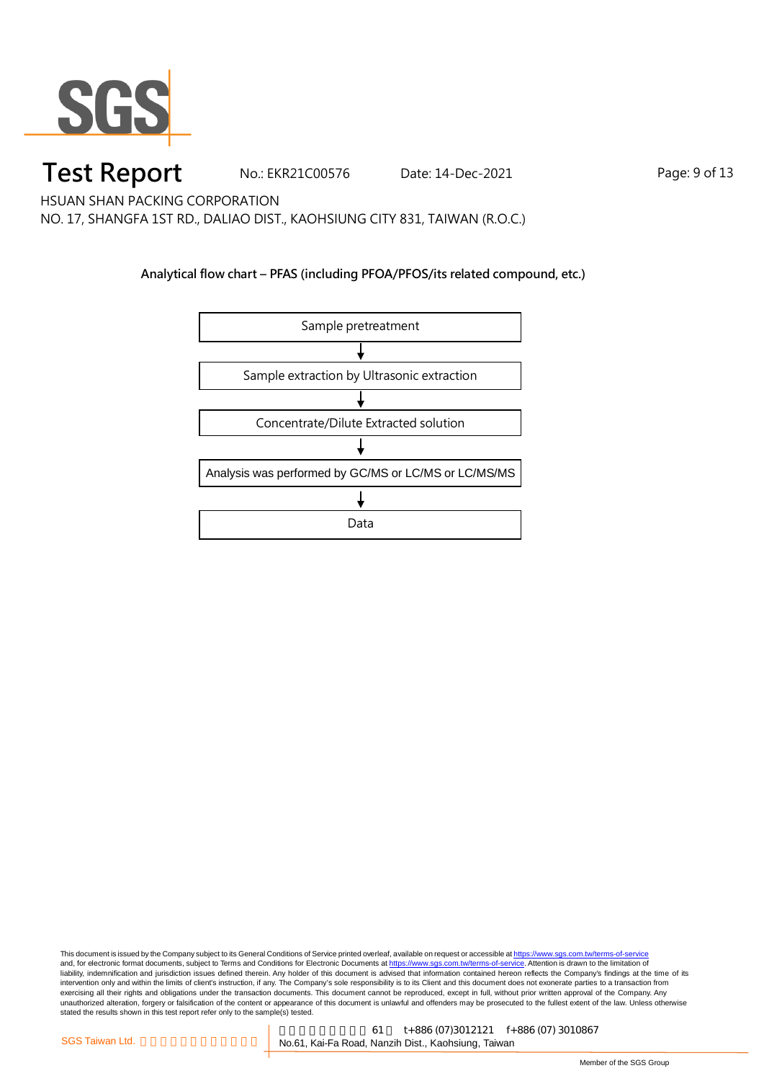

No.: EKR21C00576 Date: 14-Dec-2021 Page: 9 of 13

HSUAN SHAN PACKING CORPORATION

NO. 17, SHANGFA 1ST RD., DALIAO DIST., KAOHSIUNG CITY 831, TAIWAN (R.O.C.)

### **Analytical flow chart – PFAS (including PFOA/PFOS/its related compound, etc.)**

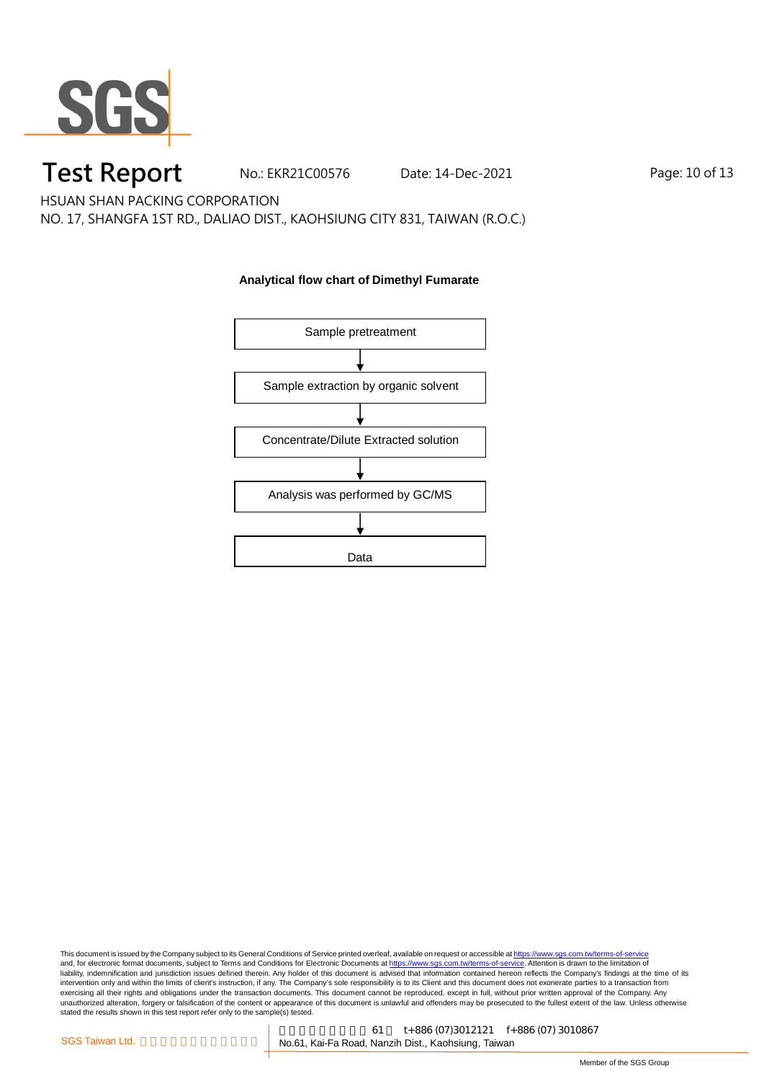

No.: EKR21C00576 Date: 14-Dec-2021 Page: 10 of 13

HSUAN SHAN PACKING CORPORATION

NO. 17, SHANGFA 1ST RD., DALIAO DIST., KAOHSIUNG CITY 831, TAIWAN (R.O.C.)

### **Analytical flow chart of Dimethyl Fumarate**

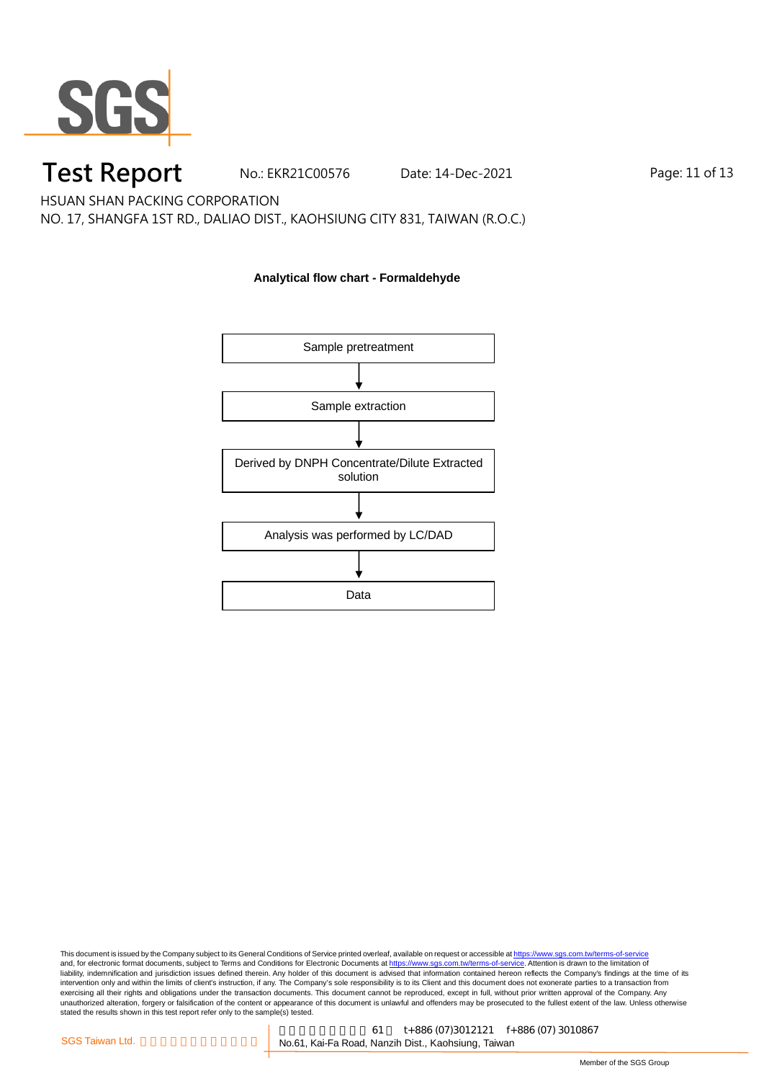

No.: EKR21C00576 Date: 14-Dec-2021 Page: 11 of 13

HSUAN SHAN PACKING CORPORATION

NO. 17, SHANGFA 1ST RD., DALIAO DIST., KAOHSIUNG CITY 831, TAIWAN (R.O.C.)

### **Analytical flow chart - Formaldehyde**

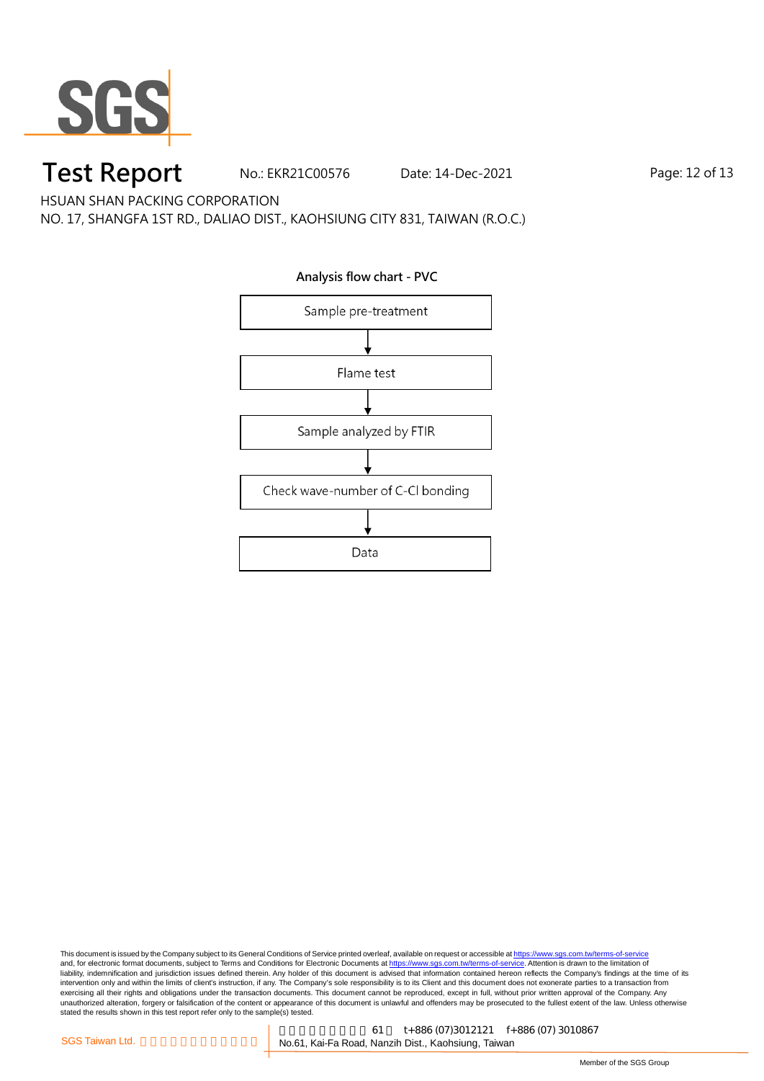

No.: EKR21C00576 Date: 14-Dec-2021 Page: 12 of 13

HSUAN SHAN PACKING CORPORATION

NO. 17, SHANGFA 1ST RD., DALIAO DIST., KAOHSIUNG CITY 831, TAIWAN (R.O.C.)